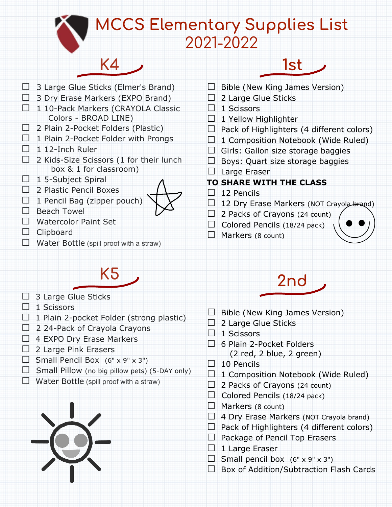#### **MCCS Elementary Supplies List** 2021-2022

 $\Box$  3 Large Glue Sticks (Elmer's Brand)

**K4**

- $\Box$  3 Dry Erase Markers (EXPO Brand)
- □ 1 10-Pack Markers (CRAYOLA Classic Colors - BROAD LINE)
- $\Box$  2 Plain 2-Pocket Folders (Plastic)
- $\Box$  1 Plain 2-Pocket Folder with Prongs
- $\Box$  1 12-Inch Ruler
- $\Box$  2 Kids-Size Scissors (1 for their lunch box & 1 for classroom)
- $\Box$  1 5-Subject Spiral
- □ 2 Plastic Pencil Boxes
- $\Box$  1 Pencil Bag (zipper pouch)
- ⯊ Beach Towel
- □ Watercolor Paint Set
- ⯊ Clipboard
- $\Box$  Water Bottle (spill proof with a straw)

# **K5**

- $\Box$  3 Large Glue Sticks
- $\Box$  1 Scissors
- $\Box$  1 Plain 2-pocket Folder (strong plastic)
- $\Box$  2 24-Pack of Crayola Crayons
- $\Box$  4 EXPO Dry Erase Markers
- $\Box$  2 Large Pink Erasers
- $\Box$  Small Pencil Box (6" x 9" x 3")
- $\Box$  Small Pillow (no big pillow pets) (5-DAY only)
- $\Box$  Water Bottle (spill proof with a straw)



- $\Box$  Bible (New King James Version)
- $\Box$  2 Large Glue Sticks
- $\Box$  1 Scissors
- $\Box$  1 Yellow Highlighter
- $\Box$  Pack of Highlighters (4 different colors)

**1st**

- $\Box$  1 Composition Notebook (Wide Ruled)
- $\Box$  Girls: Gallon size storage baggies
- $\Box$  Boys: Quart size storage baggies
- $\Box$  Large Eraser

#### **TO SHARE WITH THE CLASS**

- □ 12 Pencils
- □ 12 Dry Erase Markers (NOT Crayola-brand)
- $\Box$  2 Packs of Crayons (24 count)
- $\Box$  Colored Pencils (18/24 pack)
- $\Box$  Markers (8 count)



## **2nd**

- $\Box$  Bible (New King James Version)
- $\Box$  2 Large Glue Sticks
- $\Box$  1 Scissors
- $\Box$  6 Plain 2-Pocket Folders (2 red, 2 blue, 2 green)
- $\Box$  10 Pencils
- $\Box$  1 Composition Notebook (Wide Ruled)
- $\Box$  2 Packs of Crayons (24 count)
- $\Box$  Colored Pencils (18/24 pack)
- $\Box$  Markers (8 count)
- $\Box$  4 Dry Erase Markers (NOT Crayola brand)
- $\Box$  Pack of Highlighters (4 different colors)
- $\Box$  Package of Pencil Top Erasers
- $\Box$  1 Large Eraser
- $\Box$  Small pencil box (6" x 9" x 3")
- $\Box$  Box of Addition/Subtraction Flash Cards